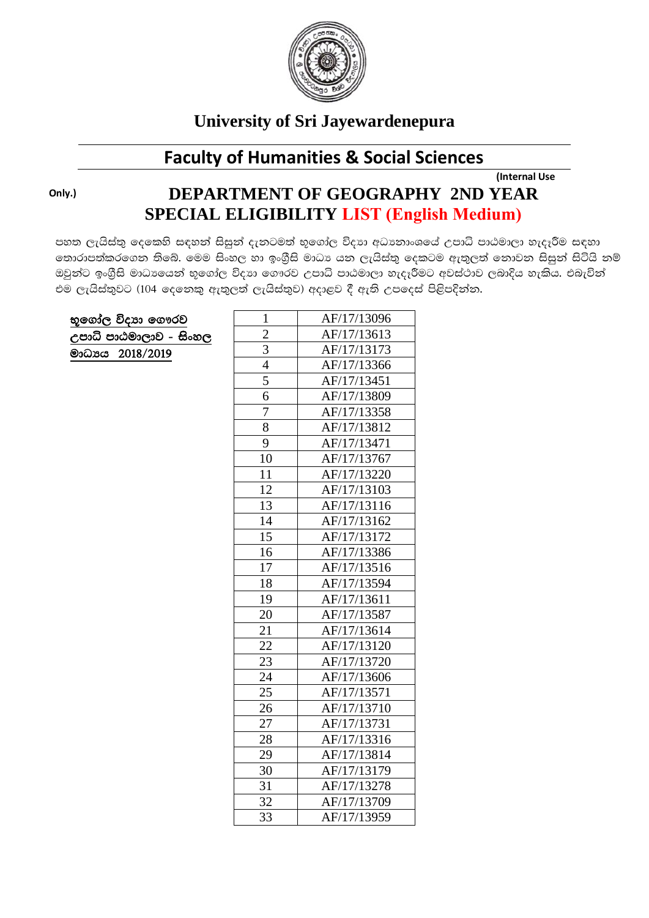

### **University of Sri Jayewardenepura**

# **Faculty of Humanities & Social Sciences**

(Internal Use

# DEPARTMENT OF GEOGRAPHY 2ND YEAR **SPECIAL ELIGIBILITY LIST (English Medium)**

පහත ලැයිස්තු දෙකෙහි සඳහන් සිසුන් දැනටමත් භූගෝල විදාහ අධාපනාංශයේ උපාධි පාඨමාලා හැදෑරීම සඳහා තොරාපත්කරගෙන තිබේ. මෙම සිංහල හා ඉංගීුසි මාධා යන ලැයිස්තු දෙකටම ඇතුලත් නොවන සිසුන් සිටියි නම් ඔවුන්ට ඉංගීුසි මාධාගෙන් භූගෝල විදාහ ගෞරව උපාධි පාඨමාලා හැදෑරීමට අවස්ථාව ලබාදිය හැකිය. එබැවින් එම ලැයිස්තුවට (104 දෙනෙකු ඇතුලත් ලැයිස්තුව) අදාළව දී ඇති උපදෙස් පිළිපදින්න.

| භූගෝල විදාහ ගෞරව       | 1              | AF/17/13096 |
|------------------------|----------------|-------------|
| උපාධි පාඨමාලාව - සිංහල | $\overline{2}$ | AF/17/13613 |
| 2018/2019<br>මාධායය    | $\overline{3}$ | AF/17/13173 |
|                        | $\overline{4}$ | AF/17/13366 |
|                        | $\overline{5}$ | AF/17/13451 |
|                        | 6              | AF/17/13809 |
|                        | 7              | AF/17/13358 |
|                        | 8              | AF/17/13812 |
|                        | 9              | AF/17/13471 |
|                        | 10             | AF/17/13767 |
|                        | 11             | AF/17/13220 |
|                        | 12             | AF/17/13103 |
|                        | 13             | AF/17/13116 |
|                        | 14             | AF/17/13162 |
|                        | 15             | AF/17/13172 |
|                        | 16             | AF/17/13386 |
|                        | 17             | AF/17/13516 |
|                        | 18             | AF/17/13594 |
|                        | 19             | AF/17/13611 |
|                        | 20             | AF/17/13587 |
|                        | 21             | AF/17/13614 |
|                        | 22             | AF/17/13120 |
|                        | 23             | AF/17/13720 |
|                        | 24             | AF/17/13606 |
|                        | 25             | AF/17/13571 |
|                        | 26             | AF/17/13710 |
|                        | 27             | AF/17/13731 |
|                        | 28             | AF/17/13316 |
|                        | 29             | AF/17/13814 |
|                        | 30             | AF/17/13179 |
|                        | 31             | AF/17/13278 |
|                        | 32             | AF/17/13709 |
|                        | 33             | AF/17/13959 |

Only.)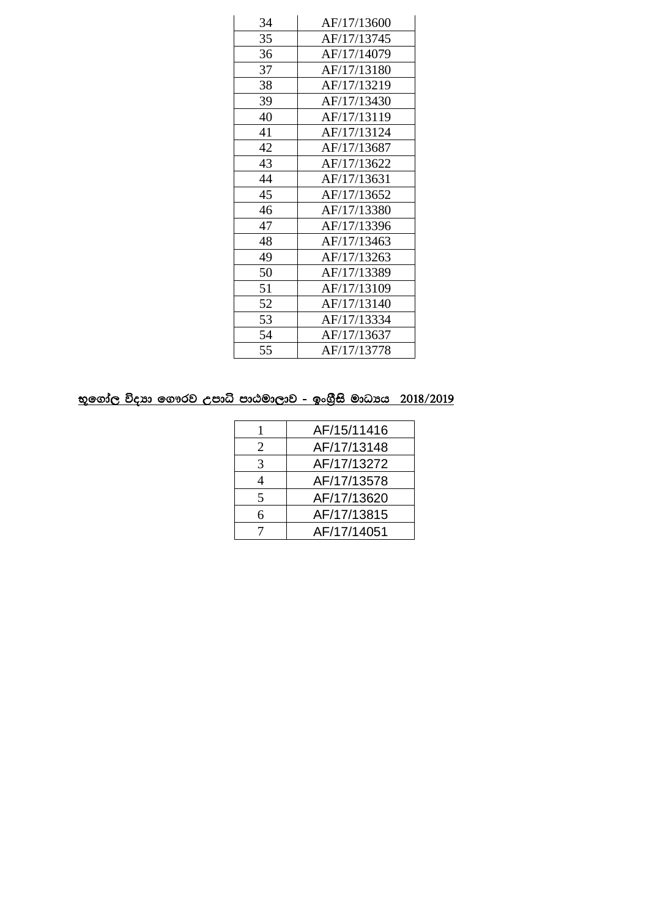| 34 | AF/17/13600 |
|----|-------------|
| 35 | AF/17/13745 |
| 36 | AF/17/14079 |
| 37 | AF/17/13180 |
| 38 | AF/17/13219 |
| 39 | AF/17/13430 |
| 40 | AF/17/13119 |
| 41 | AF/17/13124 |
| 42 | AF/17/13687 |
| 43 | AF/17/13622 |
| 44 | AF/17/13631 |
| 45 | AF/17/13652 |
| 46 | AF/17/13380 |
| 47 | AF/17/13396 |
| 48 | AF/17/13463 |
| 49 | AF/17/13263 |
| 50 | AF/17/13389 |
| 51 | AF/17/13109 |
| 52 | AF/17/13140 |
| 53 | AF/17/13334 |
| 54 | AF/17/13637 |
| 55 | AF/17/13778 |

### <u>භූගෝල විදහා ගෞරව උපාධි පාඨමාලාව - ඉංගීුසි මාධාපය 2018/2019</u>

|   | AF/15/11416 |
|---|-------------|
| 2 | AF/17/13148 |
| 3 | AF/17/13272 |
| 4 | AF/17/13578 |
| 5 | AF/17/13620 |
| 6 | AF/17/13815 |
|   | AF/17/14051 |
|   |             |